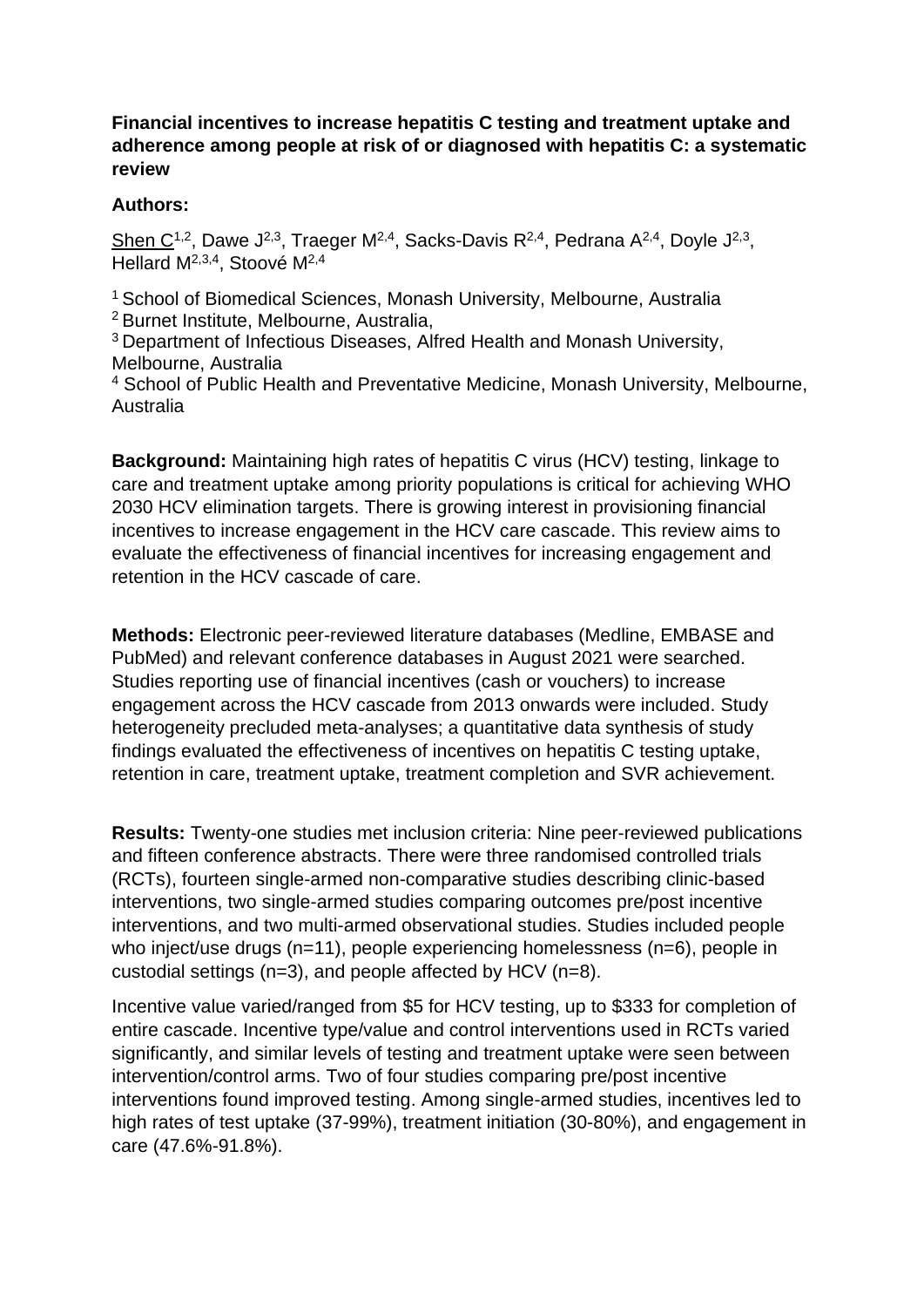## **Financial incentives to increase hepatitis C testing and treatment uptake and adherence among people at risk of or diagnosed with hepatitis C: a systematic review**

## **Authors:**

Shen C<sup>1,2</sup>, Dawe J<sup>2,3</sup>, Traeger M<sup>2,4</sup>, Sacks-Davis R<sup>2,4</sup>, Pedrana A<sup>2,4</sup>, Doyle J<sup>2,3</sup>, Hellard M<sup>2,3,4</sup>, Stoové M<sup>2,4</sup>

<sup>1</sup> School of Biomedical Sciences, Monash University, Melbourne, Australia <sup>2</sup> Burnet Institute, Melbourne, Australia,

<sup>3</sup>Department of Infectious Diseases, Alfred Health and Monash University, Melbourne, Australia

<sup>4</sup> School of Public Health and Preventative Medicine, Monash University, Melbourne, Australia

**Background:** Maintaining high rates of hepatitis C virus (HCV) testing, linkage to care and treatment uptake among priority populations is critical for achieving WHO 2030 HCV elimination targets. There is growing interest in provisioning financial incentives to increase engagement in the HCV care cascade. This review aims to evaluate the effectiveness of financial incentives for increasing engagement and retention in the HCV cascade of care.

**Methods:** Electronic peer-reviewed literature databases (Medline, EMBASE and PubMed) and relevant conference databases in August 2021 were searched. Studies reporting use of financial incentives (cash or vouchers) to increase engagement across the HCV cascade from 2013 onwards were included. Study heterogeneity precluded meta-analyses; a quantitative data synthesis of study findings evaluated the effectiveness of incentives on hepatitis C testing uptake, retention in care, treatment uptake, treatment completion and SVR achievement.

**Results:** Twenty-one studies met inclusion criteria: Nine peer-reviewed publications and fifteen conference abstracts. There were three randomised controlled trials (RCTs), fourteen single-armed non-comparative studies describing clinic-based interventions, two single-armed studies comparing outcomes pre/post incentive interventions, and two multi-armed observational studies. Studies included people who inject/use drugs (n=11), people experiencing homelessness (n=6), people in custodial settings (n=3), and people affected by HCV (n=8).

Incentive value varied/ranged from \$5 for HCV testing, up to \$333 for completion of entire cascade. Incentive type/value and control interventions used in RCTs varied significantly, and similar levels of testing and treatment uptake were seen between intervention/control arms. Two of four studies comparing pre/post incentive interventions found improved testing. Among single-armed studies, incentives led to high rates of test uptake (37-99%), treatment initiation (30-80%), and engagement in care (47.6%-91.8%).